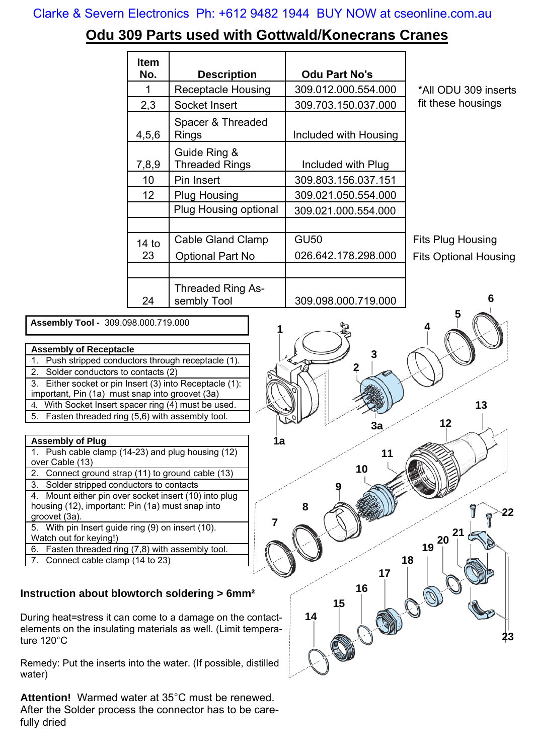### Clarke & Severn Electronics Ph: +612 9482 1944 BUY NOW at cseonline.com.au

# **Odu 309 Parts used with Gottwald/Konecrans Cranes**

| <b>Item</b><br>No. | <b>Description</b>                      | <b>Odu Part No's</b>  |                              |
|--------------------|-----------------------------------------|-----------------------|------------------------------|
| 1                  | <b>Receptacle Housing</b>               | 309.012.000.554.000   | *All ODU 309 inserts         |
| 2,3                | Socket Insert                           | 309.703.150.037.000   | fit these housings           |
| 4,5,6              | Spacer & Threaded<br><b>Rings</b>       | Included with Housing |                              |
| 7,8,9              | Guide Ring &<br><b>Threaded Rings</b>   | Included with Plug    |                              |
| 10                 | Pin Insert                              | 309.803.156.037.151   |                              |
| 12 <sub>2</sub>    | <b>Plug Housing</b>                     | 309.021.050.554.000   |                              |
|                    | Plug Housing optional                   | 309.021.000.554.000   |                              |
|                    |                                         |                       |                              |
| 14 <sub>to</sub>   | <b>Cable Gland Clamp</b>                | <b>GU50</b>           | <b>Fits Plug Housing</b>     |
| 23                 | <b>Optional Part No</b>                 | 026.642.178.298.000   | <b>Fits Optional Housing</b> |
|                    |                                         |                       |                              |
| 24                 | <b>Threaded Ring As-</b><br>sembly Tool | 309.098.000.719.000   | 6                            |

 **Assembly Tool -** 309.098.000.719.000

### **Assembly of Receptacle**

- 1. Push stripped conductors through receptacle (1).
- 2. Solder conductors to contacts (2)
- 3. Either socket or pin Insert (3) into Receptacle (1):
- important, Pin (1a) must snap into groovet (3a) 4. With Socket Insert spacer ring (4) must be used.
- 5. Fasten threaded ring (5,6) with assembly tool.

#### **Assembly of Plug**

|                 | 1. Push cable clamp (14-23) and plug housing (12) |  |  |
|-----------------|---------------------------------------------------|--|--|
| over Cable (13) |                                                   |  |  |

- 2. Connect ground strap (11) to ground cable (13)
- 3. Solder stripped conductors to contacts
- 4. Mount either pin over socket insert (10) into plug housing (12), important: Pin (1a) must snap into
- groovet (3a).
- 5. With pin Insert guide ring (9) on insert (10).
- Watch out for keying!)
- 6. Fasten threaded ring (7,8) with assembly tool.
- 7. Connect cable clamp (14 to 23)

## **Instruction about blowtorch soldering > 6mm²**

During heat=stress it can come to a damage on the contactelements on the insulating materials as well. (Limit temperature 120°C

Remedy: Put the inserts into the water. (If possible, distilled water)

**Attention!** Warmed water at 35°C must be renewed. After the Solder process the connector has to be carefully dried

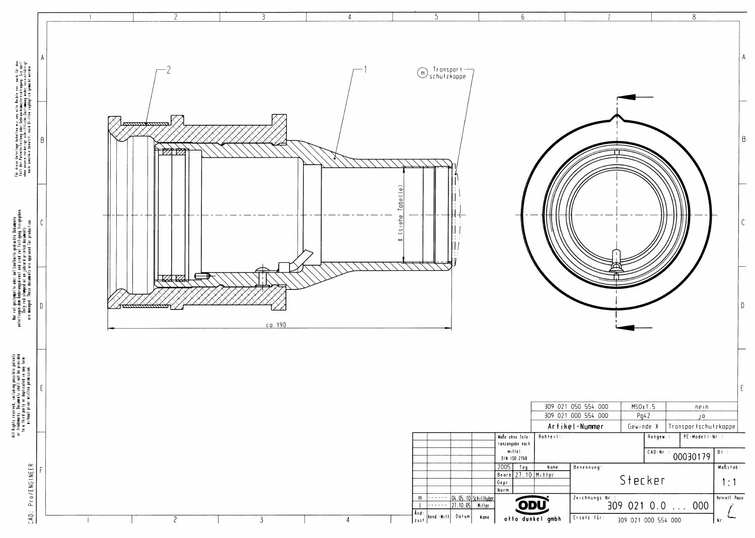